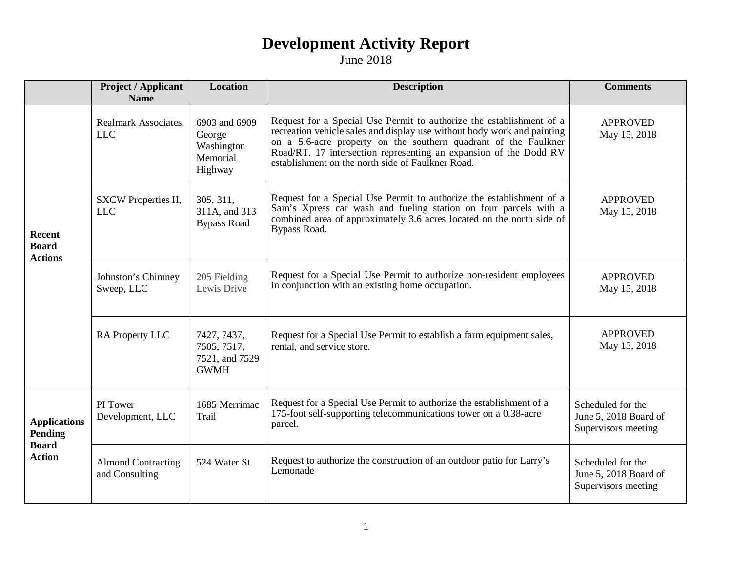|                                                                        | <b>Project / Applicant</b><br><b>Name</b>   | <b>Location</b>                                              | <b>Description</b>                                                                                                                                                                                                                                                                                                                           | <b>Comments</b>                                                   |
|------------------------------------------------------------------------|---------------------------------------------|--------------------------------------------------------------|----------------------------------------------------------------------------------------------------------------------------------------------------------------------------------------------------------------------------------------------------------------------------------------------------------------------------------------------|-------------------------------------------------------------------|
| <b>Recent</b><br><b>Board</b><br><b>Actions</b>                        | Realmark Associates,<br><b>LLC</b>          | 6903 and 6909<br>George<br>Washington<br>Memorial<br>Highway | Request for a Special Use Permit to authorize the establishment of a<br>recreation vehicle sales and display use without body work and painting<br>on a 5.6-acre property on the southern quadrant of the Faulkner<br>Road/RT. 17 intersection representing an expansion of the Dodd RV<br>establishment on the north side of Faulkner Road. | <b>APPROVED</b><br>May 15, 2018                                   |
|                                                                        | SXCW Properties II,<br><b>LLC</b>           | 305, 311,<br>311A, and 313<br><b>Bypass Road</b>             | Request for a Special Use Permit to authorize the establishment of a<br>Sam's Xpress car wash and fueling station on four parcels with a<br>combined area of approximately 3.6 acres located on the north side of<br>Bypass Road.                                                                                                            | <b>APPROVED</b><br>May 15, 2018                                   |
|                                                                        | Johnston's Chimney<br>Sweep, LLC            | 205 Fielding<br>Lewis Drive                                  | Request for a Special Use Permit to authorize non-resident employees<br>in conjunction with an existing home occupation.                                                                                                                                                                                                                     | <b>APPROVED</b><br>May 15, 2018                                   |
|                                                                        | RA Property LLC                             | 7427, 7437,<br>7505, 7517,<br>7521, and 7529<br><b>GWMH</b>  | Request for a Special Use Permit to establish a farm equipment sales,<br>rental, and service store.                                                                                                                                                                                                                                          | <b>APPROVED</b><br>May 15, 2018                                   |
| <b>Applications</b><br><b>Pending</b><br><b>Board</b><br><b>Action</b> | PI Tower<br>Development, LLC                | 1685 Merrimac<br>Trail                                       | Request for a Special Use Permit to authorize the establishment of a<br>175-foot self-supporting telecommunications tower on a 0.38-acre<br>parcel.                                                                                                                                                                                          | Scheduled for the<br>June 5, 2018 Board of<br>Supervisors meeting |
|                                                                        | <b>Almond Contracting</b><br>and Consulting | 524 Water St                                                 | Request to authorize the construction of an outdoor patio for Larry's<br>Lemonade                                                                                                                                                                                                                                                            | Scheduled for the<br>June 5, 2018 Board of<br>Supervisors meeting |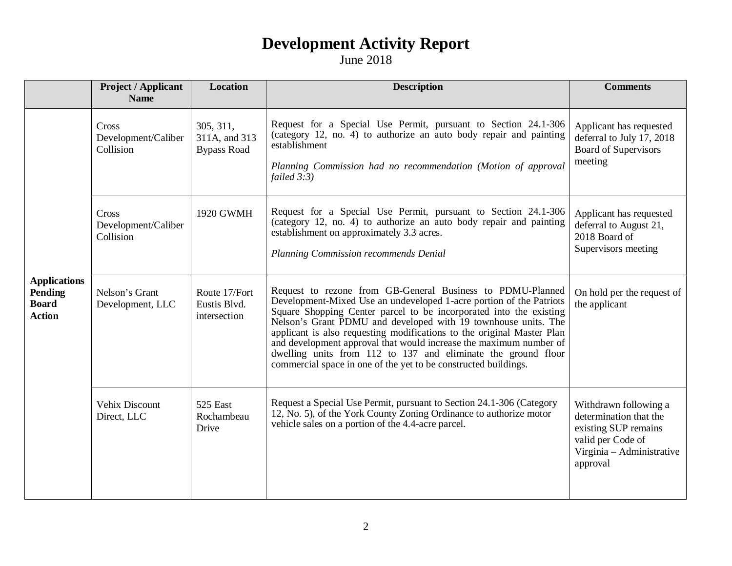|                                                                 | <b>Project / Applicant</b><br><b>Name</b> | <b>Location</b>                                  | <b>Description</b>                                                                                                                                                                                                                                                                                                                                                                                                                                                                                                                                            | <b>Comments</b>                                                                                                                       |
|-----------------------------------------------------------------|-------------------------------------------|--------------------------------------------------|---------------------------------------------------------------------------------------------------------------------------------------------------------------------------------------------------------------------------------------------------------------------------------------------------------------------------------------------------------------------------------------------------------------------------------------------------------------------------------------------------------------------------------------------------------------|---------------------------------------------------------------------------------------------------------------------------------------|
| <b>Applications</b><br>Pending<br><b>Board</b><br><b>Action</b> | Cross<br>Development/Caliber<br>Collision | 305, 311,<br>311A, and 313<br><b>Bypass Road</b> | Request for a Special Use Permit, pursuant to Section 24.1-306<br>(category 12, no. 4) to authorize an auto body repair and painting<br>establishment<br>Planning Commission had no recommendation (Motion of approval<br>failed $3:3$ )                                                                                                                                                                                                                                                                                                                      | Applicant has requested<br>deferral to July 17, 2018<br><b>Board of Supervisors</b><br>meeting                                        |
|                                                                 | Cross<br>Development/Caliber<br>Collision | 1920 GWMH                                        | Request for a Special Use Permit, pursuant to Section 24.1-306<br>(category 12, no. 4) to authorize an auto body repair and painting<br>establishment on approximately 3.3 acres.<br>Planning Commission recommends Denial                                                                                                                                                                                                                                                                                                                                    | Applicant has requested<br>deferral to August 21,<br>2018 Board of<br>Supervisors meeting                                             |
|                                                                 | Nelson's Grant<br>Development, LLC        | Route 17/Fort<br>Eustis Blvd.<br>intersection    | Request to rezone from GB-General Business to PDMU-Planned<br>Development-Mixed Use an undeveloped 1-acre portion of the Patriots<br>Square Shopping Center parcel to be incorporated into the existing<br>Nelson's Grant PDMU and developed with 19 townhouse units. The<br>applicant is also requesting modifications to the original Master Plan<br>and development approval that would increase the maximum number of<br>dwelling units from 112 to 137 and eliminate the ground floor<br>commercial space in one of the yet to be constructed buildings. | On hold per the request of<br>the applicant                                                                                           |
|                                                                 | <b>Vehix Discount</b><br>Direct, LLC      | 525 East<br>Rochambeau<br>Drive                  | Request a Special Use Permit, pursuant to Section 24.1-306 (Category<br>12, No. 5), of the York County Zoning Ordinance to authorize motor<br>vehicle sales on a portion of the 4.4-acre parcel.                                                                                                                                                                                                                                                                                                                                                              | Withdrawn following a<br>determination that the<br>existing SUP remains<br>valid per Code of<br>Virginia - Administrative<br>approval |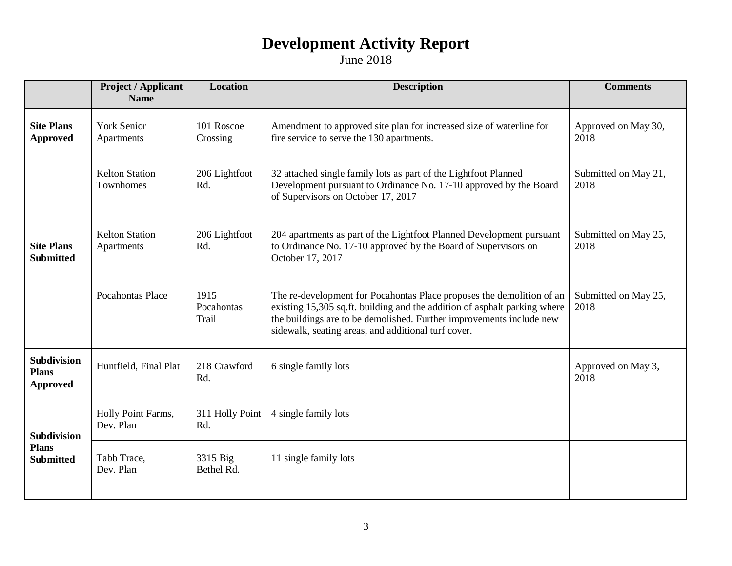|                                                        | <b>Project / Applicant</b><br><b>Name</b> | <b>Location</b>             | <b>Description</b>                                                                                                                                                                                                                                                                | <b>Comments</b>              |
|--------------------------------------------------------|-------------------------------------------|-----------------------------|-----------------------------------------------------------------------------------------------------------------------------------------------------------------------------------------------------------------------------------------------------------------------------------|------------------------------|
| <b>Site Plans</b><br><b>Approved</b>                   | <b>York Senior</b><br>Apartments          | 101 Roscoe<br>Crossing      | Amendment to approved site plan for increased size of waterline for<br>fire service to serve the 130 apartments.                                                                                                                                                                  | Approved on May 30,<br>2018  |
| <b>Site Plans</b><br><b>Submitted</b>                  | <b>Kelton Station</b><br>Townhomes        | 206 Lightfoot<br>Rd.        | 32 attached single family lots as part of the Lightfoot Planned<br>Development pursuant to Ordinance No. 17-10 approved by the Board<br>of Supervisors on October 17, 2017                                                                                                        | Submitted on May 21,<br>2018 |
|                                                        | <b>Kelton Station</b><br>Apartments       | 206 Lightfoot<br>Rd.        | 204 apartments as part of the Lightfoot Planned Development pursuant<br>to Ordinance No. 17-10 approved by the Board of Supervisors on<br>October 17, 2017                                                                                                                        | Submitted on May 25,<br>2018 |
|                                                        | <b>Pocahontas Place</b>                   | 1915<br>Pocahontas<br>Trail | The re-development for Pocahontas Place proposes the demolition of an<br>existing 15,305 sq.ft. building and the addition of asphalt parking where<br>the buildings are to be demolished. Further improvements include new<br>sidewalk, seating areas, and additional turf cover. | Submitted on May 25,<br>2018 |
| <b>Subdivision</b><br><b>Plans</b><br><b>Approved</b>  | Huntfield, Final Plat                     | 218 Crawford<br>Rd.         | 6 single family lots                                                                                                                                                                                                                                                              | Approved on May 3,<br>2018   |
| <b>Subdivision</b><br><b>Plans</b><br><b>Submitted</b> | Holly Point Farms,<br>Dev. Plan           | 311 Holly Point<br>Rd.      | 4 single family lots                                                                                                                                                                                                                                                              |                              |
|                                                        | Tabb Trace,<br>Dev. Plan                  | 3315 Big<br>Bethel Rd.      | 11 single family lots                                                                                                                                                                                                                                                             |                              |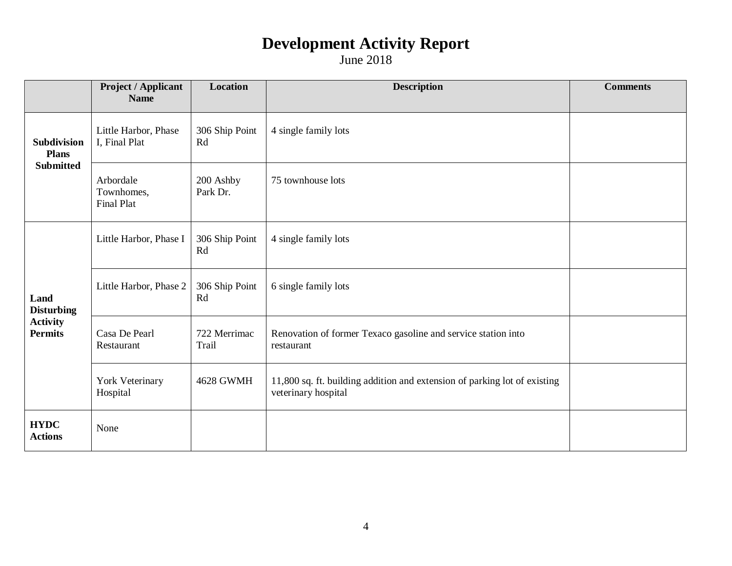|                                                                | <b>Project / Applicant</b><br><b>Name</b>    | <b>Location</b>       | <b>Description</b>                                                                               | <b>Comments</b> |
|----------------------------------------------------------------|----------------------------------------------|-----------------------|--------------------------------------------------------------------------------------------------|-----------------|
| Subdivision<br><b>Plans</b><br><b>Submitted</b>                | Little Harbor, Phase<br>I, Final Plat        | 306 Ship Point<br>Rd  | 4 single family lots                                                                             |                 |
|                                                                | Arbordale<br>Townhomes,<br><b>Final Plat</b> | 200 Ashby<br>Park Dr. | 75 townhouse lots                                                                                |                 |
| Land<br><b>Disturbing</b><br><b>Activity</b><br><b>Permits</b> | Little Harbor, Phase I                       | 306 Ship Point<br>Rd  | 4 single family lots                                                                             |                 |
|                                                                | Little Harbor, Phase 2                       | 306 Ship Point<br>Rd  | 6 single family lots                                                                             |                 |
|                                                                | Casa De Pearl<br>Restaurant                  | 722 Merrimac<br>Trail | Renovation of former Texaco gasoline and service station into<br>restaurant                      |                 |
|                                                                | York Veterinary<br>Hospital                  | <b>4628 GWMH</b>      | 11,800 sq. ft. building addition and extension of parking lot of existing<br>veterinary hospital |                 |
| <b>HYDC</b><br><b>Actions</b>                                  | None                                         |                       |                                                                                                  |                 |